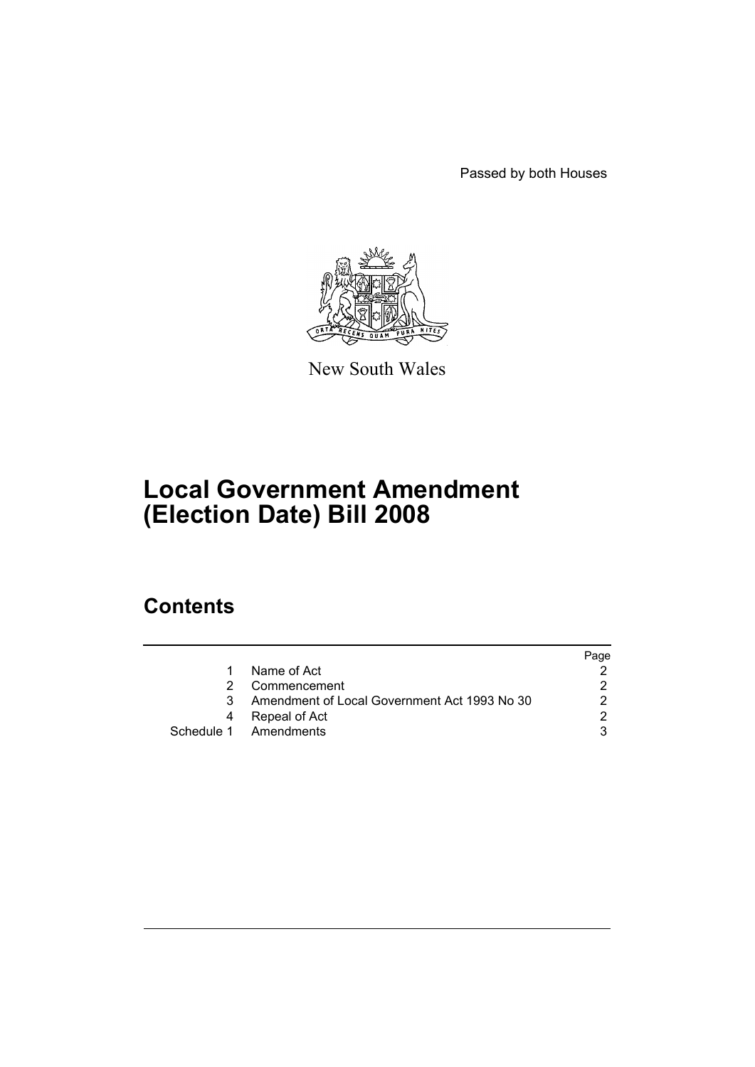Passed by both Houses



New South Wales

# **Local Government Amendment (Election Date) Bill 2008**

## **Contents**

|                                              | Page |
|----------------------------------------------|------|
| Name of Act                                  |      |
| Commencement                                 |      |
| Amendment of Local Government Act 1993 No 30 |      |
| Repeal of Act                                |      |
| Schedule 1 Amendments                        |      |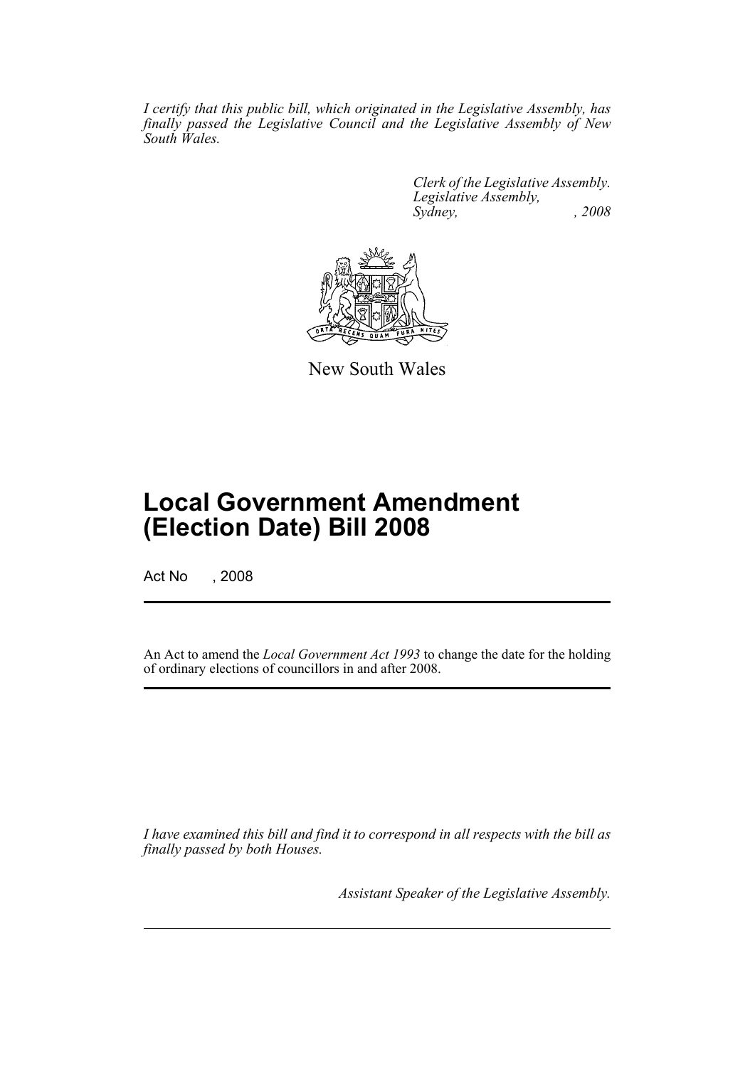*I certify that this public bill, which originated in the Legislative Assembly, has finally passed the Legislative Council and the Legislative Assembly of New South Wales.*

> *Clerk of the Legislative Assembly. Legislative Assembly, Sydney, , 2008*



New South Wales

## **Local Government Amendment (Election Date) Bill 2008**

Act No , 2008

An Act to amend the *Local Government Act 1993* to change the date for the holding of ordinary elections of councillors in and after 2008.

*I have examined this bill and find it to correspond in all respects with the bill as finally passed by both Houses.*

*Assistant Speaker of the Legislative Assembly.*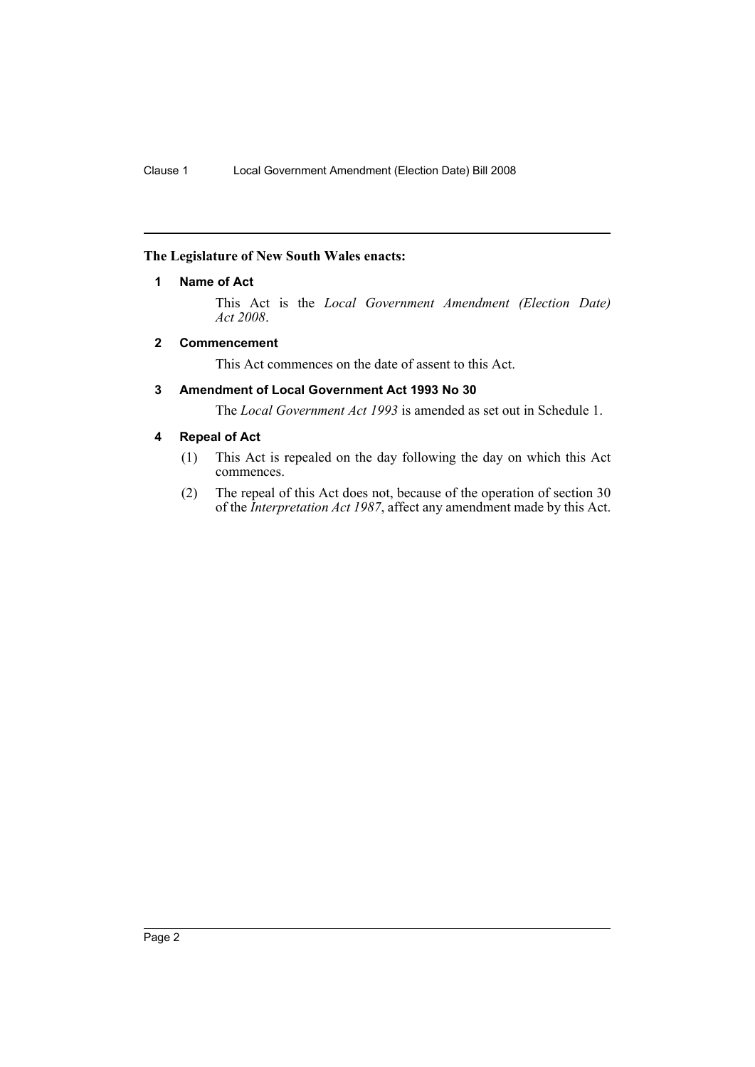#### <span id="page-2-0"></span>**The Legislature of New South Wales enacts:**

#### **1 Name of Act**

This Act is the *Local Government Amendment (Election Date) Act 2008*.

#### <span id="page-2-1"></span>**2 Commencement**

This Act commences on the date of assent to this Act.

#### <span id="page-2-2"></span>**3 Amendment of Local Government Act 1993 No 30**

The *Local Government Act 1993* is amended as set out in Schedule 1.

#### <span id="page-2-3"></span>**4 Repeal of Act**

- (1) This Act is repealed on the day following the day on which this Act commences.
- (2) The repeal of this Act does not, because of the operation of section 30 of the *Interpretation Act 1987*, affect any amendment made by this Act.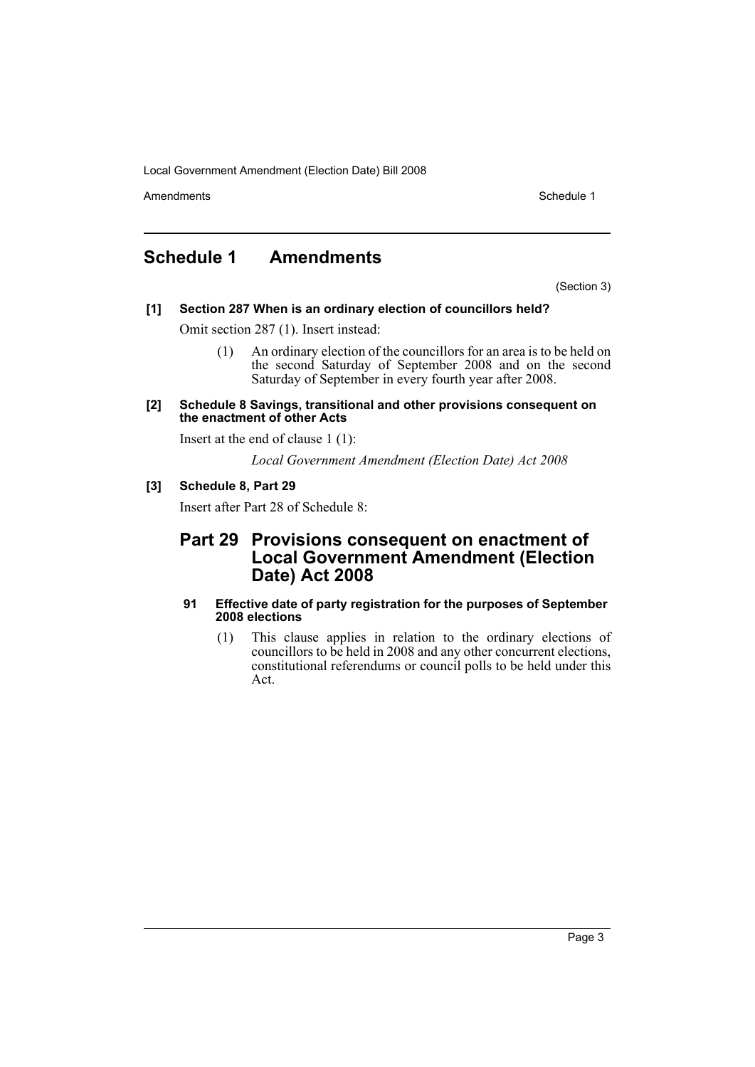Local Government Amendment (Election Date) Bill 2008

Amendments **Schedule 1** and the set of the set of the set of the set of the set of the set of the set of the set of the set of the set of the set of the set of the set of the set of the set of the set of the set of the set

## <span id="page-3-0"></span>**Schedule 1 Amendments**

(Section 3)

### **[1] Section 287 When is an ordinary election of councillors held?**

Omit section 287 (1). Insert instead:

- (1) An ordinary election of the councillors for an area is to be held on the second Saturday of September 2008 and on the second Saturday of September in every fourth year after 2008.
- **[2] Schedule 8 Savings, transitional and other provisions consequent on the enactment of other Acts**

Insert at the end of clause 1 (1):

*Local Government Amendment (Election Date) Act 2008*

#### **[3] Schedule 8, Part 29**

Insert after Part 28 of Schedule 8:

### **Part 29 Provisions consequent on enactment of Local Government Amendment (Election Date) Act 2008**

#### **91 Effective date of party registration for the purposes of September 2008 elections**

(1) This clause applies in relation to the ordinary elections of councillors to be held in 2008 and any other concurrent elections, constitutional referendums or council polls to be held under this Act.